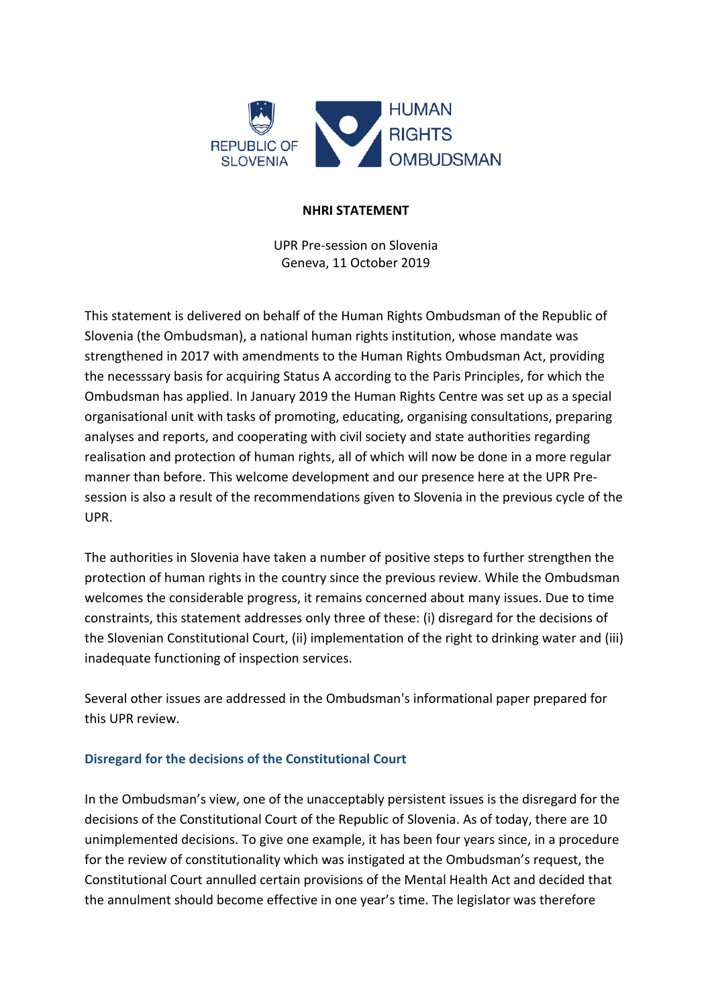

#### **NHRI STATEMENT**

UPR Pre-session on Slovenia Geneva, 11 October 2019

This statement is delivered on behalf of the Human Rights Ombudsman of the Republic of Slovenia (the Ombudsman), a national human rights institution, whose mandate was strengthened in 2017 with amendments to the Human Rights Ombudsman Act, providing the necesssary basis for acquiring Status A according to the Paris Principles, for which the Ombudsman has applied. In January 2019 the Human Rights Centre was set up as a special organisational unit with tasks of promoting, educating, organising consultations, preparing analyses and reports, and cooperating with civil society and state authorities regarding realisation and protection of human rights, all of which will now be done in a more regular manner than before. This welcome development and our presence here at the UPR Presession is also a result of the recommendations given to Slovenia in the previous cycle of the UPR.

The authorities in Slovenia have taken a number of positive steps to further strengthen the protection of human rights in the country since the previous review. While the Ombudsman welcomes the considerable progress, it remains concerned about many issues. Due to time constraints, this statement addresses only three of these: (i) disregard for the decisions of the Slovenian Constitutional Court, (ii) implementation of the right to drinking water and (iii) inadequate functioning of inspection services.

Several other issues are addressed in the Ombudsman's informational paper prepared for this UPR review.

### **Disregard for the decisions of the Constitutional Court**

In the Ombudsman's view, one of the unacceptably persistent issues is the disregard for the decisions of the Constitutional Court of the Republic of Slovenia. As of today, there are 10 unimplemented decisions. To give one example, it has been four years since, in a procedure for the review of constitutionality which was instigated at the Ombudsman's request, the Constitutional Court annulled certain provisions of the Mental Health Act and decided that the annulment should become effective in one year's time. The legislator was therefore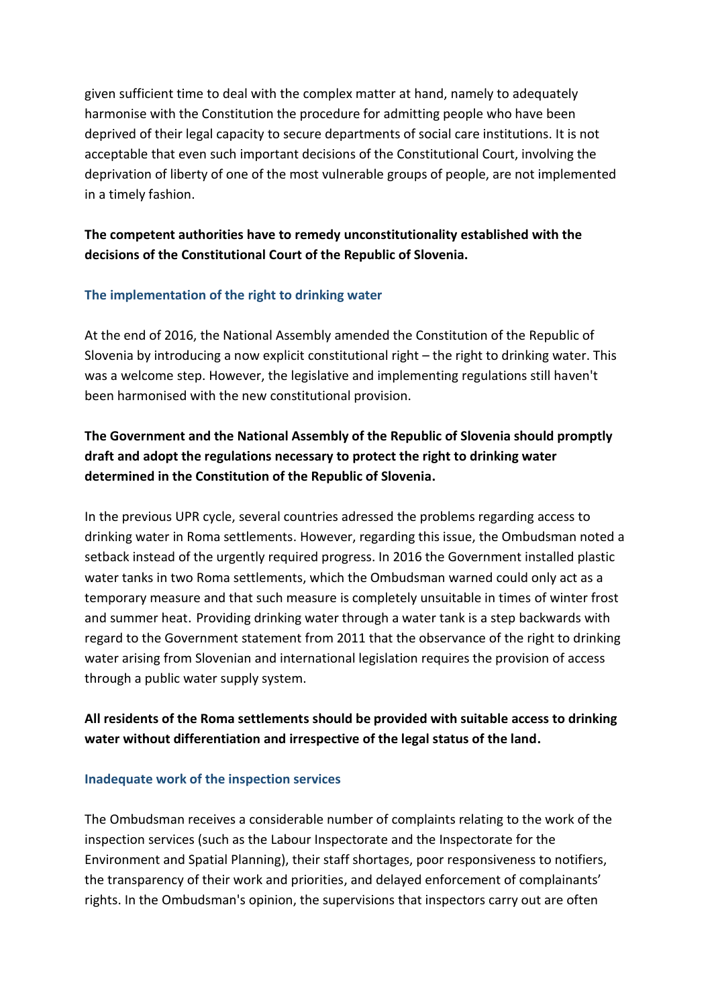given sufficient time to deal with the complex matter at hand, namely to adequately harmonise with the Constitution the procedure for admitting people who have been deprived of their legal capacity to secure departments of social care institutions. It is not acceptable that even such important decisions of the Constitutional Court, involving the deprivation of liberty of one of the most vulnerable groups of people, are not implemented in a timely fashion.

## **The competent authorities have to remedy unconstitutionality established with the decisions of the Constitutional Court of the Republic of Slovenia.**

### **The implementation of the right to drinking water**

At the end of 2016, the National Assembly amended the Constitution of the Republic of Slovenia by introducing a now explicit constitutional right – the right to drinking water. This was a welcome step. However, the legislative and implementing regulations still haven't been harmonised with the new constitutional provision.

# **The Government and the National Assembly of the Republic of Slovenia should promptly draft and adopt the regulations necessary to protect the right to drinking water determined in the Constitution of the Republic of Slovenia.**

In the previous UPR cycle, several countries adressed the problems regarding access to drinking water in Roma settlements. However, regarding this issue, the Ombudsman noted a setback instead of the urgently required progress. In 2016 the Government installed plastic water tanks in two Roma settlements, which the Ombudsman warned could only act as a temporary measure and that such measure is completely unsuitable in times of winter frost and summer heat. Providing drinking water through a water tank is a step backwards with regard to the Government statement from 2011 that the observance of the right to drinking water arising from Slovenian and international legislation requires the provision of access through a public water supply system.

### **All residents of the Roma settlements should be provided with suitable access to drinking water without differentiation and irrespective of the legal status of the land.**

#### **Inadequate work of the inspection services**

The Ombudsman receives a considerable number of complaints relating to the work of the inspection services (such as the Labour Inspectorate and the Inspectorate for the Environment and Spatial Planning), their staff shortages, poor responsiveness to notifiers, the transparency of their work and priorities, and delayed enforcement of complainants' rights. In the Ombudsman's opinion, the supervisions that inspectors carry out are often